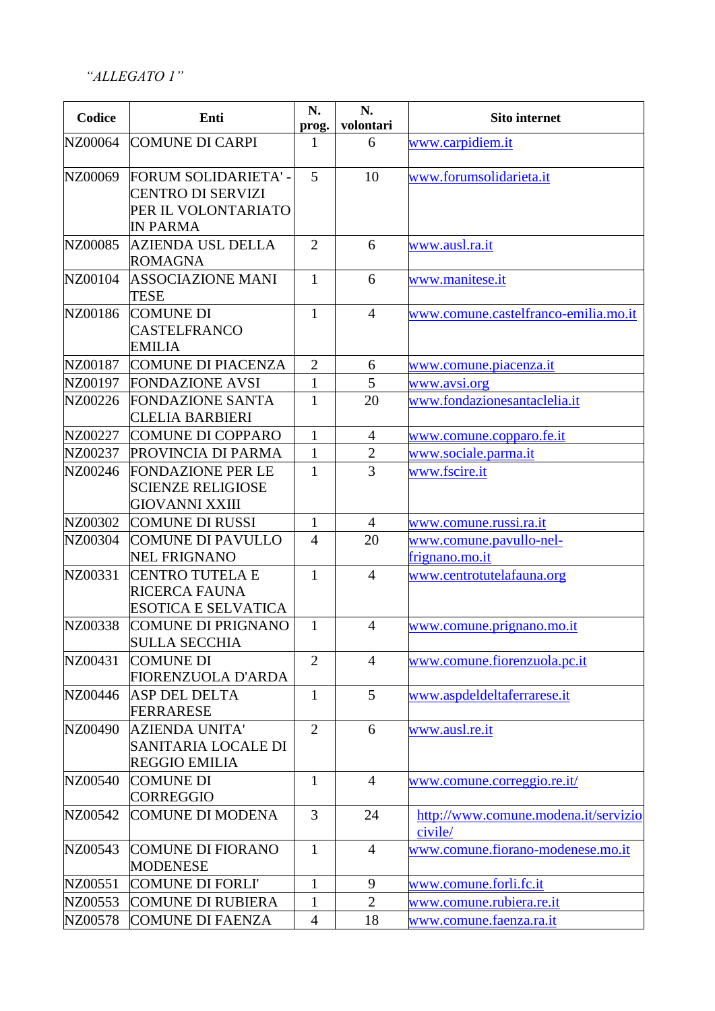*"ALLEGATO 1"*

| Codice  | Enti                                                                                       | N.<br>prog.    | N.<br>volontari | <b>Sito internet</b>                            |
|---------|--------------------------------------------------------------------------------------------|----------------|-----------------|-------------------------------------------------|
| NZ00064 | <b>COMUNE DI CARPI</b>                                                                     | 1              | 6               | www.carpidiem.it                                |
| NZ00069 | FORUM SOLIDARIETA' -<br><b>CENTRO DI SERVIZI</b><br>PER IL VOLONTARIATO<br><b>IN PARMA</b> | 5              | 10              | www.forumsolidarieta.it                         |
| NZ00085 | AZIENDA USL DELLA<br><b>ROMAGNA</b>                                                        | $\overline{2}$ | 6               | www.ausl.ra.it                                  |
| NZ00104 | <b>ASSOCIAZIONE MANI</b><br><b>TESE</b>                                                    | $\mathbf{1}$   | 6               | www.manitese.it                                 |
| NZ00186 | <b>COMUNE DI</b><br><b>CASTELFRANCO</b><br><b>EMILIA</b>                                   | $\mathbf{1}$   | $\overline{4}$  | www.comune.castelfranco-emilia.mo.it            |
| NZ00187 | <b>COMUNE DI PIACENZA</b>                                                                  | $\overline{2}$ | 6               | www.comune.piacenza.it                          |
| NZ00197 | <b>FONDAZIONE AVSI</b>                                                                     | $\mathbf{1}$   | 5               | www.avsi.org                                    |
| NZ00226 | <b>FONDAZIONE SANTA</b><br><b>CLELIA BARBIERI</b>                                          | $\mathbf{1}$   | 20              | www.fondazionesantaclelia.it                    |
| NZ00227 | <b>COMUNE DI COPPARO</b>                                                                   | $\mathbf{1}$   | $\overline{4}$  | www.comune.copparo.fe.it                        |
| NZ00237 | PROVINCIA DI PARMA                                                                         | 1              | $\overline{2}$  | www.sociale.parma.it                            |
| NZ00246 | <b>FONDAZIONE PER LE</b><br><b>SCIENZE RELIGIOSE</b><br><b>GIOVANNI XXIII</b>              | $\mathbf{1}$   | 3               | www.fscire.it                                   |
| NZ00302 | <b>COMUNE DI RUSSI</b>                                                                     | 1              | $\overline{4}$  | www.comune.russi.ra.it                          |
| NZ00304 | <b>COMUNE DI PAVULLO</b><br><b>NEL FRIGNANO</b>                                            | 4              | 20              | www.comune.pavullo-nel-<br>frignano.mo.it       |
| NZ00331 | <b>CENTRO TUTELA E</b><br><b>RICERCA FAUNA</b><br><b>ESOTICA E SELVATICA</b>               | $\mathbf{1}$   | $\overline{4}$  | www.centrotutelafauna.org                       |
| NZ00338 | <b>COMUNE DI PRIGNANO</b><br><b>SULLA SECCHIA</b>                                          | $\mathbf{1}$   | $\overline{4}$  | www.comune.prignano.mo.it                       |
| NZ00431 | <b>COMUNE DI</b><br>FIORENZUOLA D'ARDA                                                     | $\overline{2}$ | $\overline{4}$  | www.comune.fiorenzuola.pc.it                    |
| NZ00446 | <b>ASP DEL DELTA</b><br><b>FERRARESE</b>                                                   | $\mathbf{1}$   | 5               | www.aspdeldeltaferrarese.it                     |
| NZ00490 | <b>AZIENDA UNITA'</b><br>SANITARIA LOCALE DI<br><b>REGGIO EMILIA</b>                       | $\overline{2}$ | 6               | www.ausl.re.it                                  |
| NZ00540 | <b>COMUNE DI</b><br><b>CORREGGIO</b>                                                       | $\mathbf{1}$   | $\overline{4}$  | www.comune.correggio.re.it/                     |
| NZ00542 | <b>COMUNE DI MODENA</b>                                                                    | 3              | 24              | http://www.comune.modena.it/servizio<br>civile/ |
| NZ00543 | <b>COMUNE DI FIORANO</b><br><b>MODENESE</b>                                                | $\mathbf{1}$   | $\overline{4}$  | www.comune.fiorano-modenese.mo.it               |
| NZ00551 | <b>COMUNE DI FORLI'</b>                                                                    | $\mathbf{1}$   | 9               | www.comune.forli.fc.it                          |
| NZ00553 | <b>COMUNE DI RUBIERA</b>                                                                   | 1              | $\overline{2}$  | www.comune.rubiera.re.it                        |
| NZ00578 | <b>COMUNE DI FAENZA</b>                                                                    | $\overline{4}$ | 18              | www.comune.faenza.ra.it                         |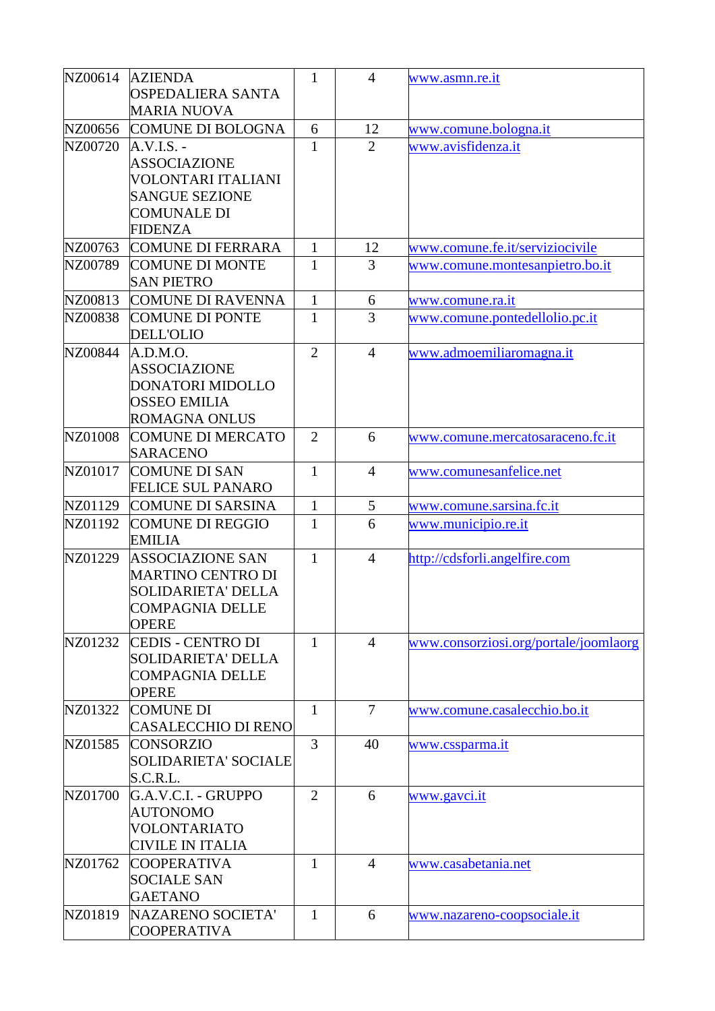| NZ00614 | <b>AZIENDA</b>                          | 1              | $\overline{4}$ | www.asmn.re.it                        |
|---------|-----------------------------------------|----------------|----------------|---------------------------------------|
|         | OSPEDALIERA SANTA                       |                |                |                                       |
|         | <b>MARIA NUOVA</b>                      |                |                |                                       |
| NZ00656 | <b>COMUNE DI BOLOGNA</b>                | 6              | 12             | www.comune.bologna.it                 |
| NZ00720 | $A.V.I.S. -$                            | $\mathbf{1}$   | $\overline{2}$ | www.avisfidenza.it                    |
|         | <b>ASSOCIAZIONE</b>                     |                |                |                                       |
|         | VOLONTARI ITALIANI                      |                |                |                                       |
|         | <b>SANGUE SEZIONE</b>                   |                |                |                                       |
|         | <b>COMUNALE DI</b>                      |                |                |                                       |
|         | <b>FIDENZA</b>                          |                |                |                                       |
| NZ00763 | <b>COMUNE DI FERRARA</b>                | $\mathbf{1}$   | 12             | www.comune.fe.it/serviziocivile       |
| NZ00789 | <b>COMUNE DI MONTE</b>                  | 1              | 3              | www.comune.montesanpietro.bo.it       |
|         | <b>SAN PIETRO</b>                       |                |                |                                       |
| NZ00813 | <b>COMUNE DI RAVENNA</b>                | $\mathbf{1}$   | 6              | www.comune.ra.it                      |
| NZ00838 | <b>COMUNE DI PONTE</b>                  | $\mathbf{1}$   | $\overline{3}$ | www.comune.pontedellolio.pc.it        |
|         | <b>DELL'OLIO</b>                        |                |                |                                       |
| NZ00844 | A.D.M.O.                                | $\overline{2}$ | $\overline{4}$ | www.admoemiliaromagna.it              |
|         | <b>ASSOCIAZIONE</b>                     |                |                |                                       |
|         | DONATORI MIDOLLO                        |                |                |                                       |
|         | <b>OSSEO EMILIA</b>                     |                |                |                                       |
|         | <b>ROMAGNA ONLUS</b>                    |                |                |                                       |
| NZ01008 | <b>COMUNE DI MERCATO</b>                | $\overline{2}$ | 6              | www.comune.mercatosaraceno.fc.it      |
|         | <b>SARACENO</b>                         |                |                |                                       |
| NZ01017 | <b>COMUNE DI SAN</b>                    | $\mathbf{1}$   | $\overline{4}$ | www.comunesanfelice.net               |
|         | <b>FELICE SUL PANARO</b>                |                |                |                                       |
| NZ01129 | <b>COMUNE DI SARSINA</b>                | $\mathbf{1}$   | 5              | www.comune.sarsina.fc.it              |
| NZ01192 | <b>COMUNE DI REGGIO</b>                 | $\mathbf{1}$   | 6              | www.municipio.re.it                   |
|         | <b>EMILIA</b>                           |                |                |                                       |
| NZ01229 | <b>ASSOCIAZIONE SAN</b>                 | $\mathbf{1}$   | $\overline{4}$ | http://cdsforli.angelfire.com         |
|         | <b>MARTINO CENTRO DI</b>                |                |                |                                       |
|         | <b>SOLIDARIETA' DELLA</b>               |                |                |                                       |
|         | <b>COMPAGNIA DELLE</b>                  |                |                |                                       |
|         | <b>OPERE</b>                            |                |                |                                       |
| NZ01232 | <b>CEDIS - CENTRO DI</b>                | $\mathbf{1}$   | $\overline{4}$ | www.consorziosi.org/portale/joomlaorg |
|         | <b>SOLIDARIETA' DELLA</b>               |                |                |                                       |
|         | <b>COMPAGNIA DELLE</b>                  |                |                |                                       |
|         | <b>OPERE</b>                            |                |                |                                       |
| NZ01322 | <b>COMUNE DI</b>                        | $\mathbf{1}$   | $\tau$         | www.comune.casalecchio.bo.it          |
|         | <b>CASALECCHIO DI RENO</b>              |                |                |                                       |
| NZ01585 | <b>CONSORZIO</b>                        | 3              | 40             | www.cssparma.it                       |
|         | <b>SOLIDARIETA' SOCIALE</b>             |                |                |                                       |
|         | S.C.R.L.                                |                |                |                                       |
| NZ01700 | G.A.V.C.I. - GRUPPO                     | $\overline{2}$ | 6              | www.gavci.it                          |
|         | <b>AUTONOMO</b>                         |                |                |                                       |
|         | VOLONTARIATO                            |                |                |                                       |
|         | <b>CIVILE IN ITALIA</b>                 |                |                |                                       |
| NZ01762 | <b>COOPERATIVA</b>                      | $\mathbf{1}$   | $\overline{4}$ | www.casabetania.net                   |
|         | <b>SOCIALE SAN</b>                      |                |                |                                       |
|         | <b>GAETANO</b>                          |                |                |                                       |
| NZ01819 | NAZARENO SOCIETA'<br><b>COOPERATIVA</b> | $\mathbf{1}$   | 6              | www.nazareno-coopsociale.it           |
|         |                                         |                |                |                                       |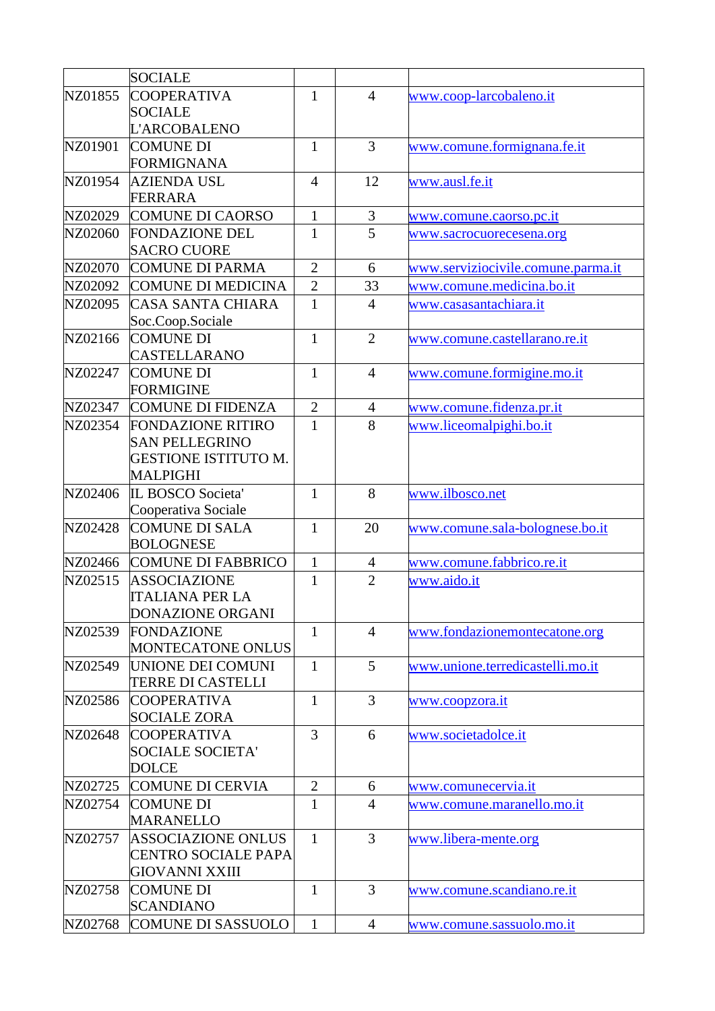|         | <b>SOCIALE</b>                                          |                |                |                                    |
|---------|---------------------------------------------------------|----------------|----------------|------------------------------------|
| NZ01855 | <b>COOPERATIVA</b>                                      | $\mathbf{1}$   | $\overline{4}$ | www.coop-larcobaleno.it            |
|         | <b>SOCIALE</b>                                          |                |                |                                    |
|         | <b>L'ARCOBALENO</b>                                     |                |                |                                    |
| NZ01901 | <b>COMUNE DI</b>                                        | $\mathbf{1}$   | $\overline{3}$ | www.comune.formignana.fe.it        |
|         | <b>FORMIGNANA</b>                                       |                |                |                                    |
| NZ01954 | <b>AZIENDA USL</b>                                      | $\overline{4}$ | 12             | www.ausl.fe.it                     |
|         | FERRARA                                                 |                |                |                                    |
| NZ02029 | COMUNE DI CAORSO                                        | $\mathbf{1}$   | $\mathfrak{Z}$ | <u>www.comune.caorso.pc.it</u>     |
| NZ02060 | <b>FONDAZIONE DEL</b>                                   | 1              | 5              | www.sacrocuorecesena.org           |
|         | <b>SACRO CUORE</b>                                      |                |                |                                    |
| NZ02070 | <b>COMUNE DI PARMA</b>                                  | $\overline{2}$ | 6              | www.serviziocivile.comune.parma.it |
| NZ02092 | <b>COMUNE DI MEDICINA</b>                               | $\overline{2}$ | 33             | www.comune.medicina.bo.it          |
| NZ02095 | CASA SANTA CHIARA                                       | $\mathbf{1}$   | $\overline{4}$ | www.casasantachiara.it             |
|         | Soc.Coop.Sociale                                        |                |                |                                    |
| NZ02166 | <b>COMUNE DI</b>                                        | $\mathbf{1}$   | $\overline{2}$ | www.comune.castellarano.re.it      |
|         | CASTELLARANO                                            |                |                |                                    |
| NZ02247 | <b>COMUNE DI</b>                                        | $\mathbf{1}$   | $\overline{4}$ | www.comune.formigine.mo.it         |
|         | <b>FORMIGINE</b>                                        |                |                |                                    |
| NZ02347 | <b>COMUNE DI FIDENZA</b>                                | $\overline{2}$ | $\overline{4}$ | www.comune.fidenza.pr.it           |
| NZ02354 | <b>FONDAZIONE RITIRO</b>                                | $\mathbf{1}$   | 8              | www.liceomalpighi.bo.it            |
|         | <b>SAN PELLEGRINO</b><br><b>GESTIONE ISTITUTO M.</b>    |                |                |                                    |
|         | <b>MALPIGHI</b>                                         |                |                |                                    |
| NZ02406 | IL BOSCO Societa'                                       | $\mathbf{1}$   | 8              | www.ilbosco.net                    |
|         | Cooperativa Sociale                                     |                |                |                                    |
| NZ02428 | <b>COMUNE DI SALA</b>                                   | $\mathbf{1}$   | 20             | www.comune.sala-bolognese.bo.it    |
|         | <b>BOLOGNESE</b>                                        |                |                |                                    |
| NZ02466 | <b>COMUNE DI FABBRICO</b>                               | $\mathbf{1}$   | $\overline{4}$ | www.comune.fabbrico.re.it          |
| NZ02515 | <b>ASSOCIAZIONE</b>                                     | $\mathbf{1}$   | $\overline{2}$ | www.aido.it                        |
|         | <b>ITALIANA PER LA</b>                                  |                |                |                                    |
|         | DONAZIONE ORGANI                                        |                |                |                                    |
| NZ02539 | <b>FONDAZIONE</b>                                       | $\mathbf{1}$   | $\overline{4}$ | www.fondazionemontecatone.org      |
|         | MONTECATONE ONLUS                                       |                |                |                                    |
| NZ02549 | UNIONE DEI COMUNI                                       | $\mathbf{1}$   | 5              | www.unione.terredicastelli.mo.it   |
|         | <b>TERRE DI CASTELLI</b>                                |                |                |                                    |
| NZ02586 | <b>COOPERATIVA</b>                                      | $\mathbf{1}$   | 3              | www.coopzora.it                    |
|         | <b>SOCIALE ZORA</b>                                     |                |                |                                    |
| NZ02648 | <b>COOPERATIVA</b>                                      | 3              | 6              | www.societadolce.it                |
|         | <b>SOCIALE SOCIETA'</b>                                 |                |                |                                    |
|         | <b>DOLCE</b>                                            |                |                |                                    |
| NZ02725 | COMUNE DI CERVIA                                        | $\mathbf{2}$   | 6              | www.comunecervia.it                |
| NZ02754 | <b>COMUNE DI</b>                                        | 1              | $\overline{4}$ | www.comune.maranello.mo.it         |
|         | <b>MARANELLO</b>                                        |                |                |                                    |
| NZ02757 | <b>ASSOCIAZIONE ONLUS</b><br><b>CENTRO SOCIALE PAPA</b> | $\mathbf{1}$   | $\overline{3}$ | www.libera-mente.org               |
|         | <b>GIOVANNI XXIII</b>                                   |                |                |                                    |
| NZ02758 | <b>COMUNE DI</b>                                        | 1              | 3              | www.comune.scandiano.re.it         |
|         | <b>SCANDIANO</b>                                        |                |                |                                    |
| NZ02768 | <b>COMUNE DI SASSUOLO</b>                               | $\mathbf{1}$   | $\overline{4}$ | www.comune.sassuolo.mo.it          |
|         |                                                         |                |                |                                    |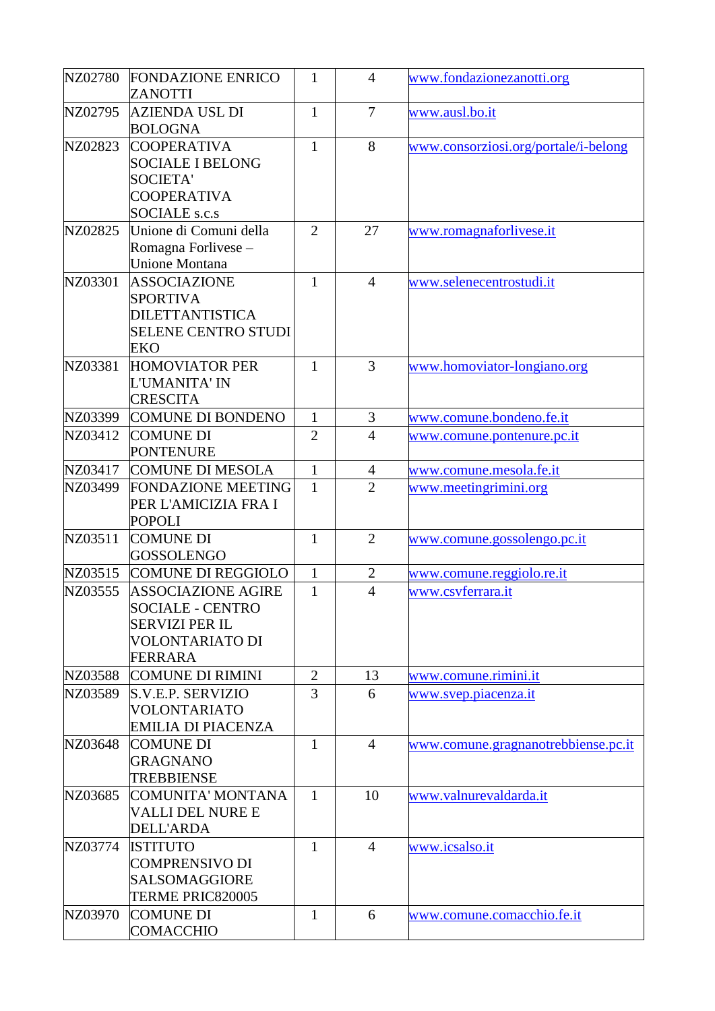| NZ02780 | <b>FONDAZIONE ENRICO</b><br>ZANOTTI                                                                                | $\mathbf{1}$   | $\overline{4}$ | www.fondazionezanotti.org            |
|---------|--------------------------------------------------------------------------------------------------------------------|----------------|----------------|--------------------------------------|
| NZ02795 | AZIENDA USL DI<br><b>BOLOGNA</b>                                                                                   | $\mathbf{1}$   | $\overline{7}$ | www.ausl.bo.it                       |
| NZ02823 | <b>COOPERATIVA</b><br><b>SOCIALE I BELONG</b><br><b>SOCIETA'</b><br><b>COOPERATIVA</b><br><b>SOCIALE</b> s.c.s     | $\mathbf{1}$   | 8              | www.consorziosi.org/portale/i-belong |
| NZ02825 | Unione di Comuni della<br>Romagna Forlivese -<br><b>Unione Montana</b>                                             | $\overline{2}$ | 27             | www.romagnaforlivese.it              |
| NZ03301 | <b>ASSOCIAZIONE</b><br><b>SPORTIVA</b><br><b>DILETTANTISTICA</b><br><b>SELENE CENTRO STUDI</b><br><b>EKO</b>       | $\mathbf{1}$   | $\overline{4}$ | www.selenecentrostudi.it             |
| NZ03381 | <b>HOMOVIATOR PER</b><br>L'UMANITA' IN<br><b>CRESCITA</b>                                                          | $\mathbf{1}$   | $\overline{3}$ | www.homoviator-longiano.org          |
| NZ03399 | <b>COMUNE DI BONDENO</b>                                                                                           | $\mathbf{1}$   | 3              | www.comune.bondeno.fe.it             |
| NZ03412 | <b>COMUNE DI</b><br><b>PONTENURE</b>                                                                               | $\overline{2}$ | $\overline{4}$ | www.comune.pontenure.pc.it           |
| NZ03417 | <b>COMUNE DI MESOLA</b>                                                                                            | $\mathbf{1}$   | $\overline{4}$ | www.comune.mesola.fe.it              |
| NZ03499 | <b>FONDAZIONE MEETING</b><br>PER L'AMICIZIA FRA I<br><b>POPOLI</b>                                                 | $\mathbf{1}$   | $\overline{2}$ | www.meetingrimini.org                |
| NZ03511 | <b>COMUNE DI</b><br><b>GOSSOLENGO</b>                                                                              | $\mathbf{1}$   | $\overline{2}$ | www.comune.gossolengo.pc.it          |
| NZ03515 | <b>COMUNE DI REGGIOLO</b>                                                                                          | $\mathbf{1}$   | $\mathbf{2}$   | www.comune.reggiolo.re.it            |
| NZ03555 | <b>ASSOCIAZIONE AGIRE</b><br><b>SOCIALE - CENTRO</b><br><b>SERVIZI PER IL</b><br><b>VOLONTARIATO DI</b><br>FERRARA | $\mathbf{1}$   | $\overline{4}$ | www.csvferrara.it                    |
| NZ03588 | <b>COMUNE DI RIMINI</b>                                                                                            | 2              | 13             | www.comune.rimini.it                 |
| NZ03589 | S.V.E.P. SERVIZIO<br><b>VOLONTARIATO</b><br><b>EMILIA DI PIACENZA</b>                                              | 3              | 6              | www.svep.piacenza.it                 |
| NZ03648 | <b>COMUNE DI</b><br><b>GRAGNANO</b><br><b>TREBBIENSE</b>                                                           | 1              | $\overline{4}$ | www.comune.gragnanotrebbiense.pc.it  |
| NZ03685 | COMUNITA' MONTANA<br><b>VALLI DEL NURE E</b><br><b>DELL'ARDA</b>                                                   | $\mathbf{1}$   | 10             | www.valnurevaldarda.it               |
| NZ03774 | <b>ISTITUTO</b><br><b>COMPRENSIVO DI</b><br><b>SALSOMAGGIORE</b><br>TERME PRIC820005                               | $\mathbf{1}$   | $\overline{4}$ | www.icsalso.it                       |
| NZ03970 | <b>COMUNE DI</b><br><b>COMACCHIO</b>                                                                               | $\mathbf{1}$   | 6              | www.comune.comacchio.fe.it           |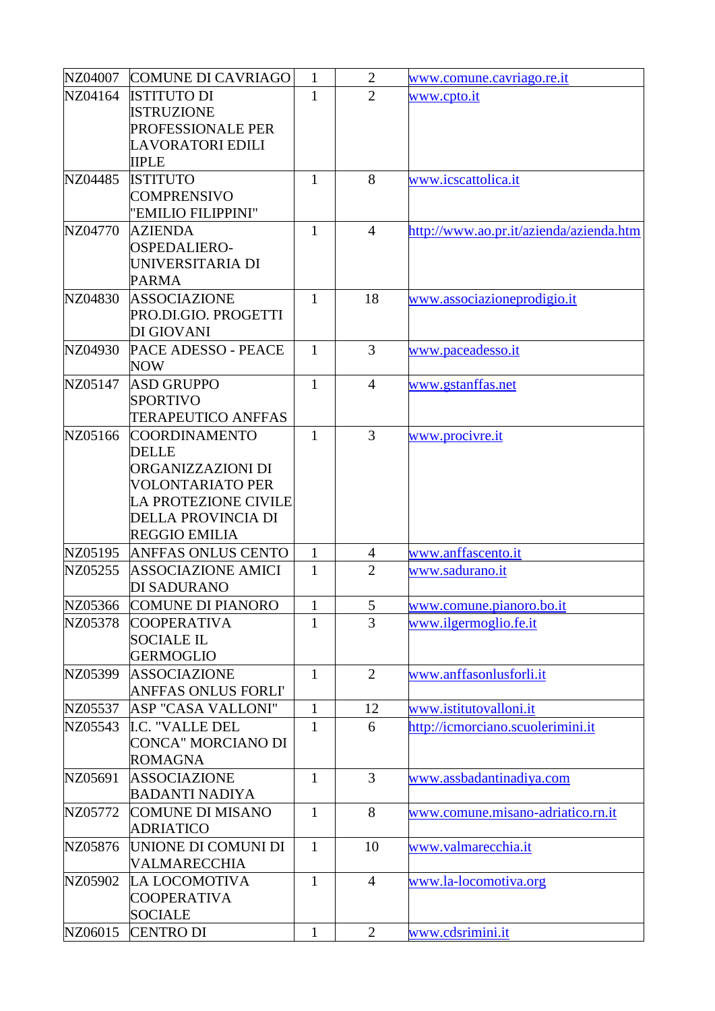| NZ04007 | <b>COMUNE DI CAVRIAGO</b>  | $\mathbf{1}$ | $\overline{2}$ | www.comune.cavriago.re.it               |
|---------|----------------------------|--------------|----------------|-----------------------------------------|
| NZ04164 | <b>ISTITUTO DI</b>         | $\mathbf{1}$ | $\overline{2}$ | www.cpto.it                             |
|         | <b>ISTRUZIONE</b>          |              |                |                                         |
|         | PROFESSIONALE PER          |              |                |                                         |
|         | <b>LAVORATORI EDILI</b>    |              |                |                                         |
|         | <b>IIPLE</b>               |              |                |                                         |
| NZ04485 | <b>ISTITUTO</b>            | $\mathbf{1}$ | 8              | www.icscattolica.it                     |
|         | <b>COMPRENSIVO</b>         |              |                |                                         |
|         | "EMILIO FILIPPINI"         |              |                |                                         |
| NZ04770 | <b>AZIENDA</b>             | $\mathbf{1}$ | $\overline{4}$ | http://www.ao.pr.it/azienda/azienda.htm |
|         | <b>OSPEDALIERO-</b>        |              |                |                                         |
|         | UNIVERSITARIA DI           |              |                |                                         |
|         | <b>PARMA</b>               |              |                |                                         |
| NZ04830 | ASSOCIAZIONE               | 1            | 18             | www.associazioneprodigio.it             |
|         | PRO.DI.GIO. PROGETTI       |              |                |                                         |
|         | DI GIOVANI                 |              |                |                                         |
| NZ04930 | PACE ADESSO - PEACE        | $\mathbf{1}$ | 3              | www.paceadesso.it                       |
|         | <b>NOW</b>                 |              |                |                                         |
| NZ05147 | <b>ASD GRUPPO</b>          | $\mathbf{1}$ | $\overline{4}$ | www.gstanffas.net                       |
|         | <b>SPORTIVO</b>            |              |                |                                         |
|         | <b>TERAPEUTICO ANFFAS</b>  |              |                |                                         |
| NZ05166 | <b>COORDINAMENTO</b>       | $\mathbf{1}$ | $\overline{3}$ | www.procivre.it                         |
|         | <b>DELLE</b>               |              |                |                                         |
|         | ORGANIZZAZIONI DI          |              |                |                                         |
|         | <b>VOLONTARIATO PER</b>    |              |                |                                         |
|         | LA PROTEZIONE CIVILE       |              |                |                                         |
|         | DELLA PROVINCIA DI         |              |                |                                         |
|         | <b>REGGIO EMILIA</b>       |              |                |                                         |
| NZ05195 | <b>ANFFAS ONLUS CENTO</b>  | $\mathbf{1}$ | 4              | www.anffascento.it                      |
| NZ05255 | <b>ASSOCIAZIONE AMICI</b>  | $\mathbf{1}$ | $\overline{2}$ | www.sadurano.it                         |
|         | DI SADURANO                |              |                |                                         |
| NZ05366 | <b>COMUNE DI PIANORO</b>   | $\mathbf{1}$ | $\mathfrak{S}$ | www.comune.pianoro.bo.it                |
| NZ05378 | <b>COOPERATIVA</b>         | $\mathbf{1}$ | $\overline{3}$ | www.ilgermoglio.fe.it                   |
|         | <b>SOCIALE IL</b>          |              |                |                                         |
|         | <b>GERMOGLIO</b>           |              |                |                                         |
| NZ05399 | <b>ASSOCIAZIONE</b>        | $\mathbf{1}$ | $\overline{2}$ | www.anffasonlusforli.it                 |
|         | <b>ANFFAS ONLUS FORLI'</b> |              |                |                                         |
| NZ05537 | ASP "CASA VALLONI"         | $\mathbf{1}$ | 12             | www.istitutovalloni.it                  |
| NZ05543 | <b>I.C. "VALLE DEL</b>     | $\mathbf{1}$ | 6              | http://icmorciano.scuolerimini.it       |
|         | <b>CONCA" MORCIANO DI</b>  |              |                |                                         |
|         | ROMAGNA                    |              |                |                                         |
| NZ05691 | <b>ASSOCIAZIONE</b>        | $\mathbf{1}$ | $\overline{3}$ | www.assbadantinadiya.com                |
|         | <b>BADANTI NADIYA</b>      |              |                |                                         |
| NZ05772 | <b>COMUNE DI MISANO</b>    | $\mathbf{1}$ | 8              | www.comune.misano-adriatico.rn.it       |
|         | <b>ADRIATICO</b>           |              |                |                                         |
| NZ05876 | UNIONE DI COMUNI DI        | $\mathbf{1}$ | 10             | www.valmarecchia.it                     |
|         | VALMARECCHIA               |              |                |                                         |
| NZ05902 | LA LOCOMOTIVA              | $\mathbf{1}$ | $\overline{4}$ | www.la-locomotiva.org                   |
|         | <b>COOPERATIVA</b>         |              |                |                                         |
|         | <b>SOCIALE</b>             |              |                |                                         |
| NZ06015 | <b>CENTRO DI</b>           | $\mathbf{1}$ | $\overline{2}$ | www.cdsrimini.it                        |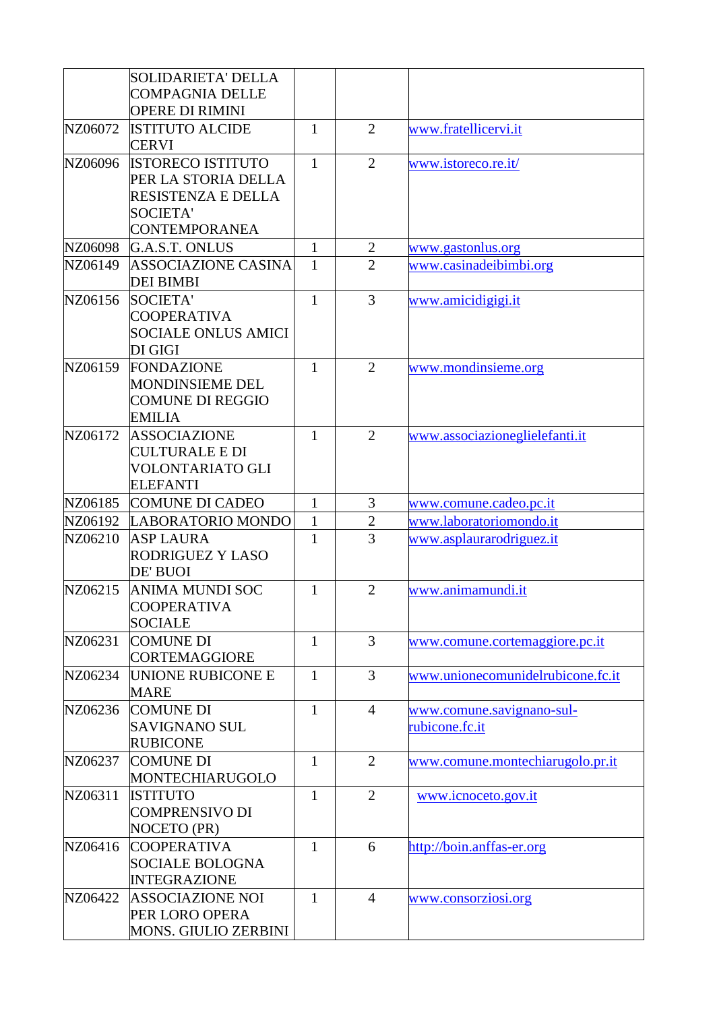|         | <b>SOLIDARIETA' DELLA</b><br><b>COMPAGNIA DELLE</b>                                 |              |                |                                             |
|---------|-------------------------------------------------------------------------------------|--------------|----------------|---------------------------------------------|
|         | <b>OPERE DI RIMINI</b>                                                              |              |                |                                             |
| NZ06072 | <b>ISTITUTO ALCIDE</b><br><b>CERVI</b>                                              | $\mathbf{1}$ | $\overline{2}$ | www.fratellicervi.it                        |
| NZ06096 | <b>ISTORECO ISTITUTO</b><br>PER LA STORIA DELLA<br>RESISTENZA E DELLA               | $\mathbf{1}$ | $\overline{2}$ | www.istoreco.re.it/                         |
|         | <b>SOCIETA'</b><br><b>CONTEMPORANEA</b>                                             |              |                |                                             |
| NZ06098 | G.A.S.T. ONLUS                                                                      | $\mathbf{1}$ | $\overline{2}$ | www.gastonlus.org                           |
| NZ06149 | <b>ASSOCIAZIONE CASINA</b><br><b>DEI BIMBI</b>                                      | $\mathbf{1}$ | $\overline{2}$ | www.casinadeibimbi.org                      |
| NZ06156 | <b>SOCIETA'</b><br><b>COOPERATIVA</b><br><b>SOCIALE ONLUS AMICI</b><br>DI GIGI      | $\mathbf{1}$ | $\overline{3}$ | www.amicidigigi.it                          |
| NZ06159 | FONDAZIONE<br><b>MONDINSIEME DEL</b><br><b>COMUNE DI REGGIO</b><br><b>EMILIA</b>    | $\mathbf{1}$ | $\overline{2}$ | www.mondinsieme.org                         |
| NZ06172 | <b>ASSOCIAZIONE</b><br><b>CULTURALE E DI</b><br>VOLONTARIATO GLI<br><b>ELEFANTI</b> | $\mathbf{1}$ | $\overline{2}$ | www.associazioneglielefanti.it              |
| NZ06185 | <b>COMUNE DI CADEO</b>                                                              | $\mathbf{1}$ | 3              | www.comune.cadeo.pc.it                      |
| NZ06192 | LABORATORIO MONDO                                                                   | $\mathbf 1$  | $\overline{2}$ | www.laboratoriomondo.it                     |
| NZ06210 | <b>ASP LAURA</b><br>RODRIGUEZ Y LASO<br>DE' BUOI                                    | $\mathbf{1}$ | $\overline{3}$ | www.asplaurarodriguez.it                    |
| NZ06215 | <b>ANIMA MUNDI SOC</b><br><b>COOPERATIVA</b><br><b>SOCIALE</b>                      | 1            | $\overline{2}$ | www.animamundi.it                           |
| NZ06231 | <b>COMUNE DI</b><br><b>CORTEMAGGIORE</b>                                            | $\mathbf{1}$ | $\overline{3}$ | www.comune.cortemaggiore.pc.it              |
| NZ06234 | UNIONE RUBICONE E<br><b>MARE</b>                                                    | $\mathbf{1}$ | 3              | www.unionecomunidelrubicone.fc.it           |
| NZ06236 | <b>COMUNE DI</b><br><b>SAVIGNANO SUL</b><br><b>RUBICONE</b>                         | $\mathbf{1}$ | $\overline{4}$ | www.comune.savignano-sul-<br>rubicone.fc.it |
| NZ06237 | <b>COMUNE DI</b><br>MONTECHIARUGOLO                                                 | $\mathbf{1}$ | $\overline{2}$ | www.comune.montechiarugolo.pr.it            |
| NZ06311 | <b>ISTITUTO</b><br><b>COMPRENSIVO DI</b><br>NOCETO (PR)                             | $\mathbf{1}$ | $\overline{2}$ | www.icnoceto.gov.it                         |
| NZ06416 | <b>COOPERATIVA</b><br><b>SOCIALE BOLOGNA</b><br><b>INTEGRAZIONE</b>                 | $\mathbf{1}$ | 6              | http://boin.anffas-er.org                   |
| NZ06422 | <b>ASSOCIAZIONE NOI</b><br>PER LORO OPERA<br><b>MONS. GIULIO ZERBINI</b>            | $\mathbf{1}$ | $\overline{4}$ | www.consorziosi.org                         |